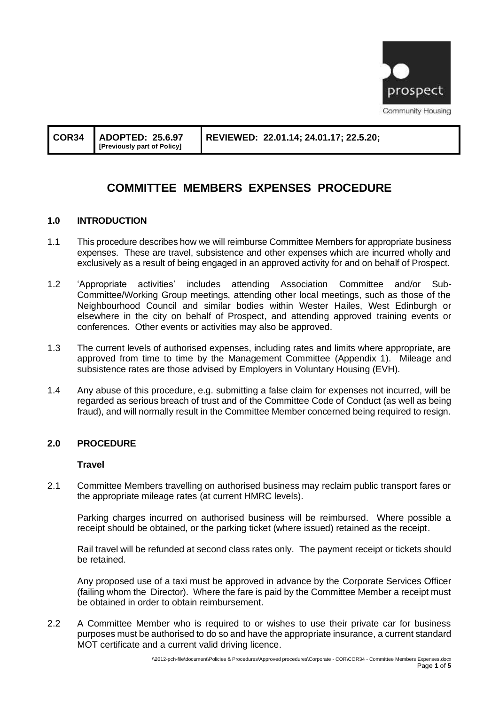

|  | $\vert$ COR34 $\vert$ ADOPTED: 25.6.97<br>[Previously part of Policy] | REVIEWED: 22.01.14; 24.01.17; 22.5.20; |
|--|-----------------------------------------------------------------------|----------------------------------------|
|--|-----------------------------------------------------------------------|----------------------------------------|

# **COMMITTEE MEMBERS EXPENSES PROCEDURE**

#### **1.0 INTRODUCTION**

- 1.1 This procedure describes how we will reimburse Committee Members for appropriate business expenses. These are travel, subsistence and other expenses which are incurred wholly and exclusively as a result of being engaged in an approved activity for and on behalf of Prospect.
- 1.2 'Appropriate activities' includes attending Association Committee and/or Sub-Committee/Working Group meetings, attending other local meetings, such as those of the Neighbourhood Council and similar bodies within Wester Hailes, West Edinburgh or elsewhere in the city on behalf of Prospect, and attending approved training events or conferences. Other events or activities may also be approved.
- 1.3 The current levels of authorised expenses, including rates and limits where appropriate, are approved from time to time by the Management Committee (Appendix 1). Mileage and subsistence rates are those advised by Employers in Voluntary Housing (EVH).
- 1.4 Any abuse of this procedure, e.g. submitting a false claim for expenses not incurred, will be regarded as serious breach of trust and of the Committee Code of Conduct (as well as being fraud), and will normally result in the Committee Member concerned being required to resign.

#### **2.0 PROCEDURE**

#### **Travel**

2.1 Committee Members travelling on authorised business may reclaim public transport fares or the appropriate mileage rates (at current HMRC levels).

Parking charges incurred on authorised business will be reimbursed. Where possible a receipt should be obtained, or the parking ticket (where issued) retained as the receipt.

Rail travel will be refunded at second class rates only. The payment receipt or tickets should be retained.

Any proposed use of a taxi must be approved in advance by the Corporate Services Officer (failing whom the Director). Where the fare is paid by the Committee Member a receipt must be obtained in order to obtain reimbursement.

2.2 A Committee Member who is required to or wishes to use their private car for business purposes must be authorised to do so and have the appropriate insurance, a current standard MOT certificate and a current valid driving licence.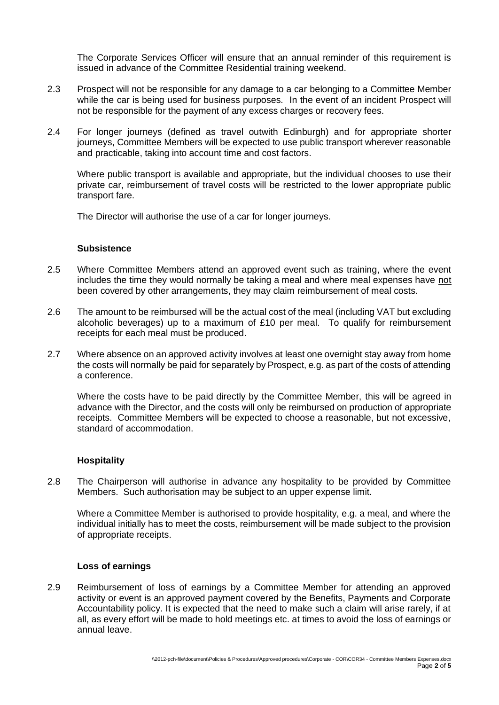The Corporate Services Officer will ensure that an annual reminder of this requirement is issued in advance of the Committee Residential training weekend.

- 2.3 Prospect will not be responsible for any damage to a car belonging to a Committee Member while the car is being used for business purposes. In the event of an incident Prospect will not be responsible for the payment of any excess charges or recovery fees.
- 2.4 For longer journeys (defined as travel outwith Edinburgh) and for appropriate shorter journeys, Committee Members will be expected to use public transport wherever reasonable and practicable, taking into account time and cost factors.

Where public transport is available and appropriate, but the individual chooses to use their private car, reimbursement of travel costs will be restricted to the lower appropriate public transport fare.

The Director will authorise the use of a car for longer journeys.

## **Subsistence**

- 2.5 Where Committee Members attend an approved event such as training, where the event includes the time they would normally be taking a meal and where meal expenses have not been covered by other arrangements, they may claim reimbursement of meal costs.
- 2.6 The amount to be reimbursed will be the actual cost of the meal (including VAT but excluding alcoholic beverages) up to a maximum of £10 per meal. To qualify for reimbursement receipts for each meal must be produced.
- 2.7 Where absence on an approved activity involves at least one overnight stay away from home the costs will normally be paid for separately by Prospect, e.g. as part of the costs of attending a conference.

Where the costs have to be paid directly by the Committee Member, this will be agreed in advance with the Director, and the costs will only be reimbursed on production of appropriate receipts. Committee Members will be expected to choose a reasonable, but not excessive, standard of accommodation.

## **Hospitality**

2.8 The Chairperson will authorise in advance any hospitality to be provided by Committee Members. Such authorisation may be subject to an upper expense limit.

Where a Committee Member is authorised to provide hospitality, e.g. a meal, and where the individual initially has to meet the costs, reimbursement will be made subject to the provision of appropriate receipts.

#### **Loss of earnings**

2.9 Reimbursement of loss of earnings by a Committee Member for attending an approved activity or event is an approved payment covered by the Benefits, Payments and Corporate Accountability policy. It is expected that the need to make such a claim will arise rarely, if at all, as every effort will be made to hold meetings etc. at times to avoid the loss of earnings or annual leave.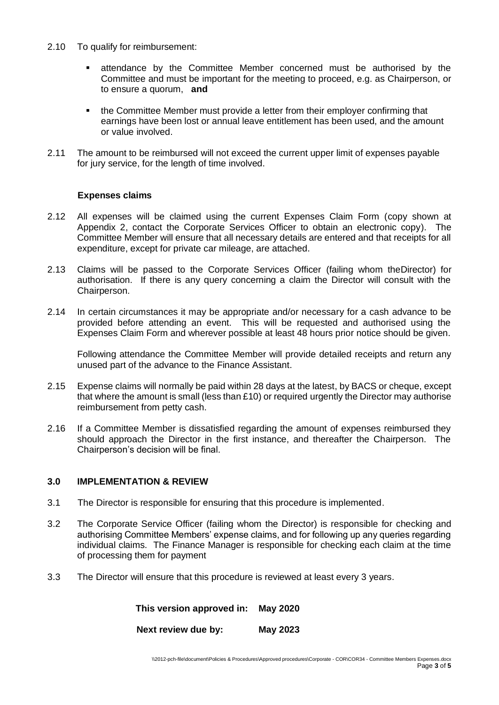- 2.10 To qualify for reimbursement:
	- attendance by the Committee Member concerned must be authorised by the Committee and must be important for the meeting to proceed, e.g. as Chairperson, or to ensure a quorum, **and**
	- the Committee Member must provide a letter from their employer confirming that earnings have been lost or annual leave entitlement has been used, and the amount or value involved.
- 2.11 The amount to be reimbursed will not exceed the current upper limit of expenses payable for jury service, for the length of time involved.

#### **Expenses claims**

- 2.12 All expenses will be claimed using the current Expenses Claim Form (copy shown at Appendix 2, contact the Corporate Services Officer to obtain an electronic copy). The Committee Member will ensure that all necessary details are entered and that receipts for all expenditure, except for private car mileage, are attached.
- 2.13 Claims will be passed to the Corporate Services Officer (failing whom theDirector) for authorisation. If there is any query concerning a claim the Director will consult with the Chairperson.
- 2.14 In certain circumstances it may be appropriate and/or necessary for a cash advance to be provided before attending an event. This will be requested and authorised using the Expenses Claim Form and wherever possible at least 48 hours prior notice should be given.

Following attendance the Committee Member will provide detailed receipts and return any unused part of the advance to the Finance Assistant.

- 2.15 Expense claims will normally be paid within 28 days at the latest, by BACS or cheque, except that where the amount is small (less than £10) or required urgently the Director may authorise reimbursement from petty cash.
- 2.16 If a Committee Member is dissatisfied regarding the amount of expenses reimbursed they should approach the Director in the first instance, and thereafter the Chairperson. The Chairperson's decision will be final.

# **3.0 IMPLEMENTATION & REVIEW**

- 3.1 The Director is responsible for ensuring that this procedure is implemented.
- 3.2 The Corporate Service Officer (failing whom the Director) is responsible for checking and authorising Committee Members' expense claims, and for following up any queries regarding individual claims. The Finance Manager is responsible for checking each claim at the time of processing them for payment
- 3.3 The Director will ensure that this procedure is reviewed at least every 3 years.

 **This version approved in: May 2020**

**Next review due by: May 2023**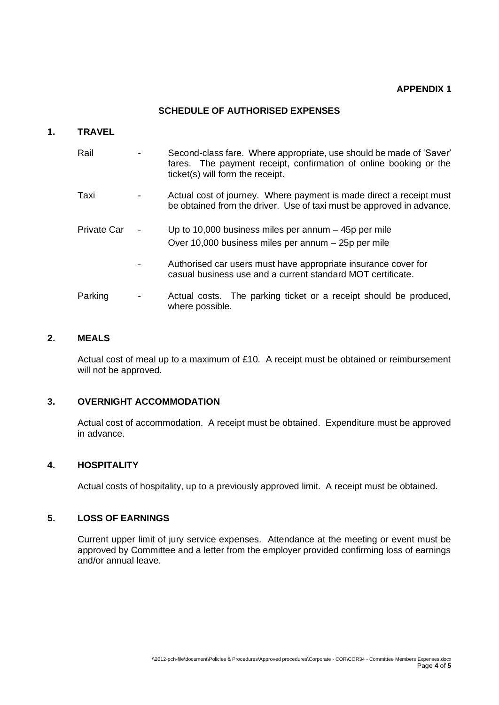## **APPENDIX 1**

# **SCHEDULE OF AUTHORISED EXPENSES**

#### **1. TRAVEL**

| Rail        | Second-class fare. Where appropriate, use should be made of 'Saver'<br>fares. The payment receipt, confirmation of online booking or the<br>ticket(s) will form the receipt. |  |  |  |
|-------------|------------------------------------------------------------------------------------------------------------------------------------------------------------------------------|--|--|--|
| Taxi        | Actual cost of journey. Where payment is made direct a receipt must<br>be obtained from the driver. Use of taxi must be approved in advance.                                 |  |  |  |
| Private Car | Up to 10,000 business miles per annum $-$ 45p per mile<br>Over 10,000 business miles per annum – 25p per mile                                                                |  |  |  |
|             | Authorised car users must have appropriate insurance cover for<br>casual business use and a current standard MOT certificate.                                                |  |  |  |
| Parking     | Actual costs. The parking ticket or a receipt should be produced,<br>where possible.                                                                                         |  |  |  |

# **2. MEALS**

Actual cost of meal up to a maximum of £10. A receipt must be obtained or reimbursement will not be approved.

## **3. OVERNIGHT ACCOMMODATION**

Actual cost of accommodation. A receipt must be obtained. Expenditure must be approved in advance.

## **4. HOSPITALITY**

Actual costs of hospitality, up to a previously approved limit. A receipt must be obtained.

## **5. LOSS OF EARNINGS**

Current upper limit of jury service expenses. Attendance at the meeting or event must be approved by Committee and a letter from the employer provided confirming loss of earnings and/or annual leave.